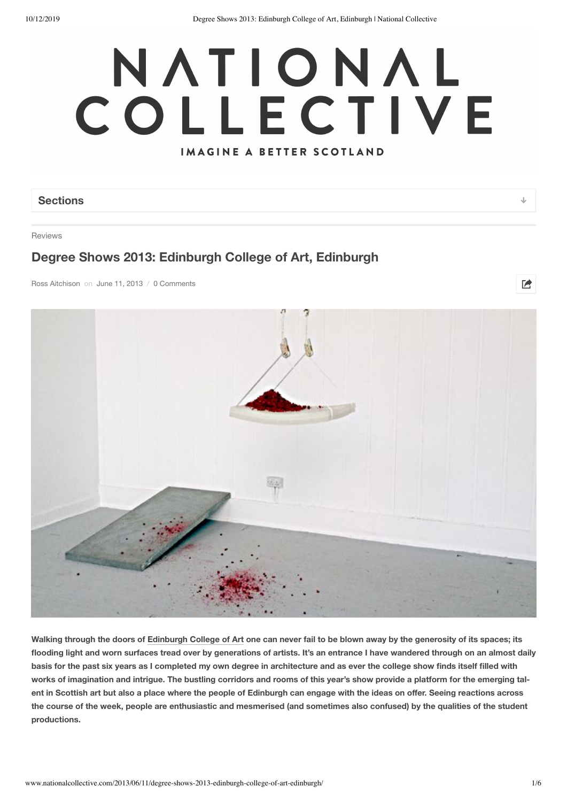# NATIONAL COLLECTIVE IMAGINE A BETTER SCOTLAND

# **Sections**

Reviews

# **Degree Shows 2013: Edinburgh College of Art, Edinburgh**

Ross Aitchison on June 11, 2013 / 0 Comments



Walking through the doors of Edinburgh College of Art one can never fail to be blown away by the generosity of its spaces; its flooding light and worn surfaces tread over by generations of artists. It's an entrance I have wandered through on an almost daily basis for the past six years as I completed my own degree in architecture and as ever the college show finds itself filled with works of imagination and intrigue. The bustling corridors and rooms of this year's show provide a platform for the emerging talent in Scottish art but also a place where the people of Edinburgh can engage with the ideas on offer. Seeing reactions across the course of the week, people are enthusiastic and mesmerised (and sometimes also confused) by the qualities of the student **productions.**

 $\overrightarrow{P}$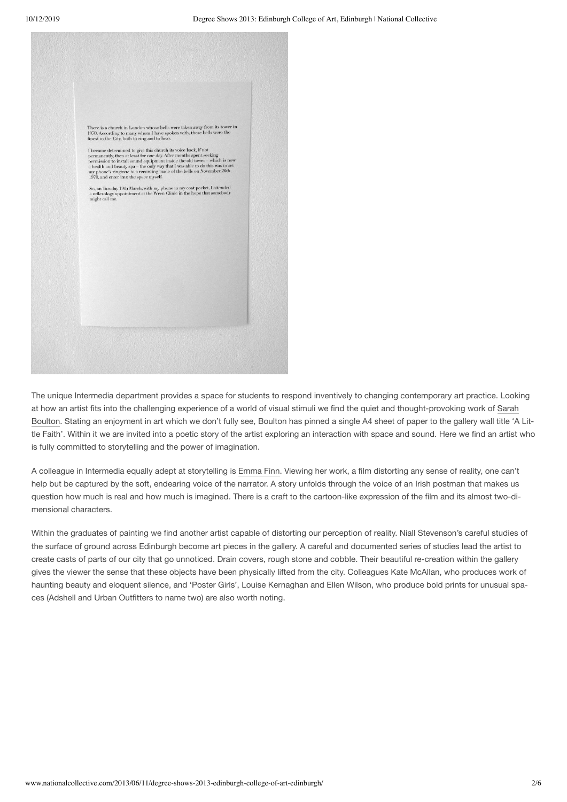

The unique Intermedia department provides a space for students to respond inventively to changing contemporary art practice. Looking at how an artist fits into the challenging experience of a world of visual stimuli we find the quiet and thought-provoking work of Sarah Boulton. Stating an enjoyment in art which we don't fully see, Boulton has pinned a single A4 sheet of paper to the gallery wall title 'A Little Faith'. Within it we are invited into a poetic story of the artist exploring an interaction with space and sound. Here we find an artist who is fully committed to storytelling and the power of imagination.

A colleague in Intermedia equally adept at storytelling is Emma Finn. Viewing her work, a film distorting any sense of reality, one can't help but be captured by the soft, endearing voice of the narrator. A story unfolds through the voice of an Irish postman that makes us question how much is real and how much is imagined. There is a craft to the cartoon-like expression of the film and its almost two-dimensional characters.

Within the graduates of painting we find another artist capable of distorting our perception of reality. Niall Stevenson's careful studies of the surface of ground across Edinburgh become art pieces in the gallery. A careful and documented series of studies lead the artist to create casts of parts of our city that go unnoticed. Drain covers, rough stone and cobble. Their beautiful re-creation within the gallery gives the viewer the sense that these objects have been physically lifted from the city. Colleagues Kate McAllan, who produces work of haunting beauty and eloquent silence, and 'Poster Girls', Louise Kernaghan and Ellen Wilson, who produce bold prints for unusual spaces (Adshell and Urban Outfitters to name two) are also worth noting.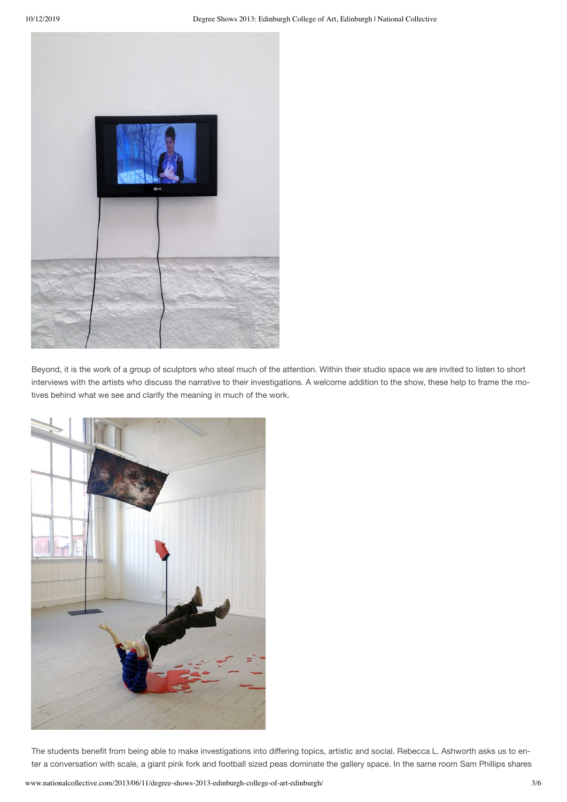

Beyond, it is the work of a group of sculptors who steal much of the attention. Within their studio space we are invited to listen to short interviews with the artists who discuss the narrative to their investigations. A welcome addition to the show, these help to frame the motives behind what we see and clarify the meaning in much of the work.



The students benefit from being able to make investigations into differing topics, artistic and social. Rebecca L. Ashworth asks us to en‐ ter a conversation with scale, a giant pink fork and football sized peas dominate the gallery space. In the same room Sam Phillips shares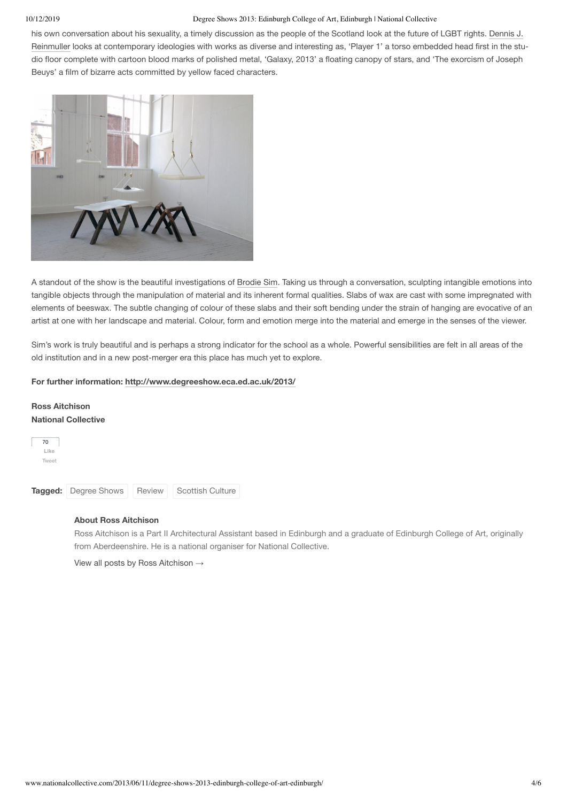### 10/12/2019 Degree Shows 2013: Edinburgh College of Art, Edinburgh | National Collective

his own conversation about his sexuality, a timely discussion as the people of the Scotland look at the future of LGBT rights. Dennis J. Reinmuller looks at contemporary ideologies with works as diverse and interesting as, 'Player 1' a torso embedded head first in the studio floor complete with cartoon blood marks of polished metal, 'Galaxy, 2013' a floating canopy of stars, and 'The exorcism of Joseph Beuys' a film of bizarre acts committed by yellow faced characters.



A standout of the show is the beautiful investigations of Brodie Sim. Taking us through a conversation, sculpting intangible emotions into tangible objects through the manipulation of material and its inherent formal qualities. Slabs of wax are cast with some impregnated with elements of beeswax. The subtle changing of colour of these slabs and their soft bending under the strain of hanging are evocative of an artist at one with her landscape and material. Colour, form and emotion merge into the material and emerge in the senses of the viewer.

Sim's work is truly beautiful and is perhaps a strong indicator for the school as a whole. Powerful sensibilities are felt in all areas of the old institution and in a new post-merger era this place has much yet to explore.

# **For further information: http://www.degreeshow.eca.ed.ac.uk/2013/**

# **Ross Aitchison National Collective**



# **About Ross Aitchison**

Ross Aitchison is a Part II Architectural Assistant based in Edinburgh and a graduate of Edinburgh College of Art, originally from Aberdeenshire. He is a national organiser for National Collective.

View all posts by Ross Aitchison →